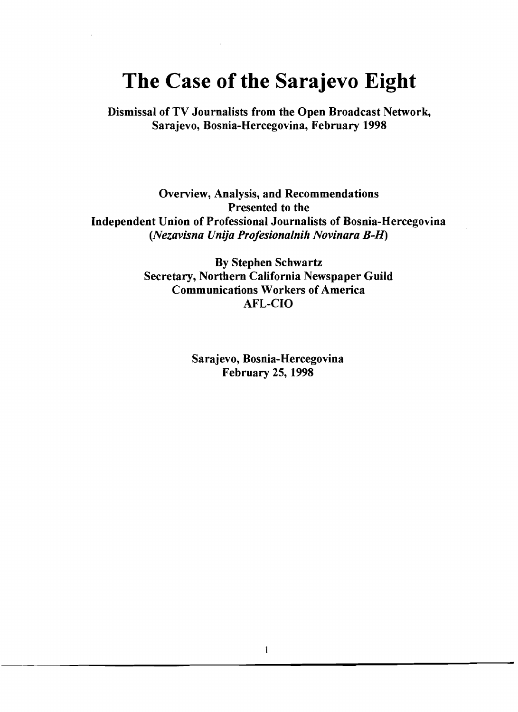# **The Case of the Sarajevo Eight**

Dismissal of TV Journalists from the Open Broadcast Network, Sarajevo, Bosnia-Hercegovina, February 1998

Overview, Analysis, and Recommendations Presented to the Independent Union of Professional Journalists of Bosnia-Hercegovina *(Nezavisna Unija Projesionalnih Novinara B-H)* 

> By Stephen Schwartz Secretary, Northern California Newspaper Guild Communications Workers of America AFL-CIO

> > Sarajevo, Bosnia-Hercegovina February 25, 1998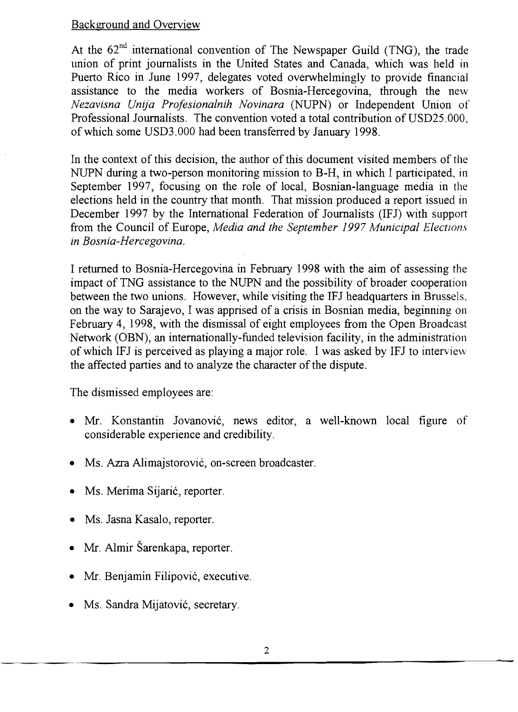### Background and Overview

At the  $62<sup>nd</sup>$  international convention of The Newspaper Guild (TNG), the trade union of print journalists in the United States and Canada, which was held in Puerto Rico in June 1997, delegates voted overwhelmingly to provide financial assistance to the media workers of Bosnia-Hercegovina, through the new *Nezavisna Unija Profesionalnih Novinara* (NUPN) or Independent Union of Professional Journalists. The convention voted a total contribution of USD25.000, of which some USD3.000 had been transferred by January 1998.

In the context of this decision, the author of this document visited members of the NUPN during a two-person monitoring mission to B-H, in which I participated, in September 1997, focusing on the role of local, Bosnian-language media in the elections held in the country that month. That mission produced a report issued in December 1997 by the International Federation of Journalists (IFJ) with support from the Council of Europe, *Media and the September* 1997 *Municipal Elections in Bosnia-Hercegovina.* 

I returned to Bosnia-Hercegovina in February 1998 with the aim of assessing the impact of TNG assistance to the NUPN and the possibility of broader cooperation between the two unions. However, while visiting the IFJ headquarters in Brussels, on the way to Sarajevo, I was apprised of a crisis in Bosnian media, beginning on February 4, 1998, with the dismissal of eight employees from the Open Broadcast Network (OBN), an internationally-funded television facility, in the administration of which IFJ is perceived as playing a major role. I was asked by IFJ to intervievv the affected parties and to analyze the character of the dispute.

The dismissed employees are:

- Mr. Konstantin Jovanović, news editor, a well-known local figure of considerable experience and credibility.
- Ms. Azra Alimajstorović, on-screen broadcaster.
- Ms. Merima Sijarić, reporter.
- Ms. Jasna Kasalo, reporter.
- Mr. Almir Šarenkapa, reporter.
- Mr. Benjamin Filipović, executive.
- Ms. Sandra Mijatović, secretary.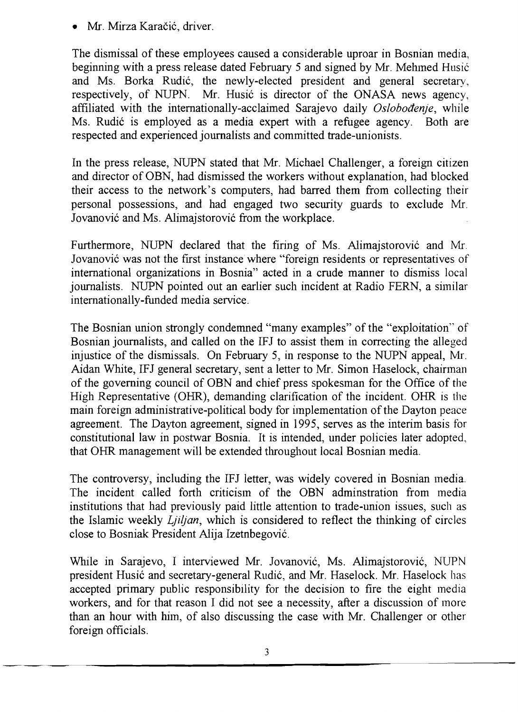Mr. Mirza Karačić, driver.

The dismissal of these employees caused a considerable uproar in Bosnian media, beginning with a press release dated February 5 and signed by Mr. Mehmed Husic and Ms. Borka Rudić, the newly-elected president and general secretary, respectively, of NUPN. Mr. Husic is director of the ONASA news agency, affiliated with the internationally-acclaimed Sarajevo daily *Osloboaenje,* while Ms. Rudić is employed as a media expert with a refugee agency. Both are respected and experienced journalists and committed trade-unionists.

In the press release, NUPN stated that Mr. Michael Challenger, a foreign citizen and director of OBN, had dismissed the workers without explanation, had blocked their access to the network's computers, had barred them from collecting their personal possessions, and had engaged two security guards to exclude Mr. Jovanovic and Ms. Alimajstorovic from the workplace.

Furthermore, NUPN declared that the firing of Ms. Alimaistorovic and Mr. Jovanovic was not the first instance where "foreign residents or representatives of international organizations in Bosnia" acted in a crude manner to dismiss local journalists. NUPN pointed out an earlier such incident at Radio FERN, a similar internationally-funded media service.

The Bosnian union strongly condemned "many examples" of the "exploitation" of Bosnian journalists, and called on the IFJ to assist them in correcting the alleged injustice of the dismissals. On February 5, in response to the NUPN appeal, Mr. Aidan White, IFJ general secretary, sent a letter to Mr. Simon Haselock, chairman of the governing council of OBN and chief press spokesman for the Office of the High Representative (OHR), demanding clarification of the incident. OHR is the main foreign administrative-political body for implementation of the Dayton peace agreement. The Dayton agreement, signed in 1995, serves as the interim basis for constitutional law in postwar Bosnia. It is intended, under policies later adopted, that OHR management will be extended throughout local Bosnian media.

The controversy, including the IFJ letter, was widely covered in Bosnian media. The incident called forth criticism of the OBN adminstration from media institutions that had previously paid little attention to trade-union issues, such as the Islamic weekly *Ljiljan,* which is considered to reflect the thinking of circles close to Bosniak President Alija Izetnbegovic.

While in Sarajevo, I interviewed Mr. Jovanovic, Ms. Alimajstorovic, NUPN president Husić and secretary-general Rudić, and Mr. Haselock. Mr. Haselock has accepted primary public responsibility for the decision to fire the eight media workers, and for that reason I did not see a necessity, after a discussion of more than an hour with him, of also discussing the case with Mr. Challenger or other foreign officials.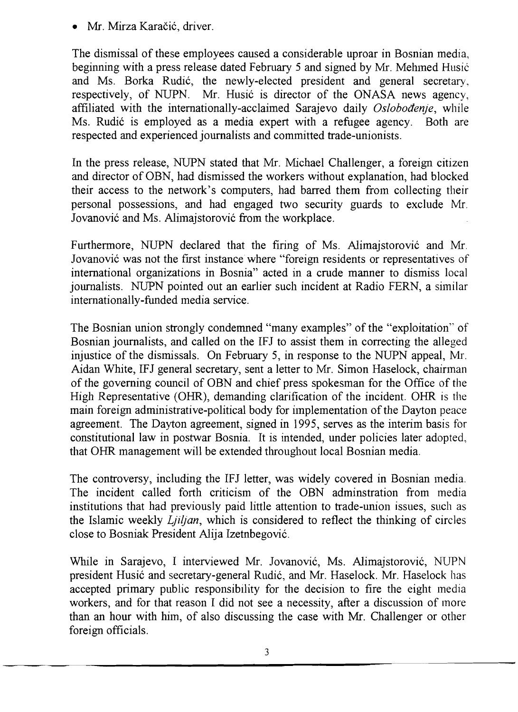Mr. Mirza Karačić, driver.

The dismissal of these employees caused a considerable uproar in Bosnian media, beginning with a press release dated February 5 and signed by Mr. Mehmed Husic and Ms. Borka Rudić, the newly-elected president and general secretary, respectively, of NUPN. Mr. Husic is director of the ONASA news agency, affiliated with the internationally-acclaimed Sarajevo daily *Oslobodenje*, while Ms. Rudić is employed as a media expert with a refugee agency. Both are respected and experienced journalists and committed trade-unionists.

In the press release, NUPN stated that Mr. Michael Challenger, a foreign citizen and director of OBN, had dismissed the workers without explanation, had blocked their access to the network's computers, had barred them from collecting their personal possessions, and had engaged two security guards to exclude Mr. Jovanovic and Ms. Alimajstorovic from the workplace.

Furthermore, NUPN declared that the firing of Ms. Alimajstorovic and Mr. Jovanovic was not the first instance where "foreign residents or representatives of international organizations in Bosnia" acted in a crude manner to dismiss local journalists. NUPN pointed out an earlier such incident at Radio FERN, a similar internationally-funded media service.

The Bosnian union strongly condemned "many examples" of the "exploitation" of Bosnian journalists, and called on the IFJ to assist them in correcting the alleged injustice of the dismissals. On February 5, in response to the NUPN appeal, Mr. Aidan White, IFJ general secretary, sent a letter to Mr. Simon Haselock, chairman of the governing council of OBN and chief press spokesman for the Office of the High Representative (OHR), demanding clarification of the incident. OHR is the main foreign administrative-political body for implementation of the Dayton peace agreement. The Dayton agreement, signed in 1995, serves as the interim basis for constitutional law in postwar Bosnia. It is intended, under policies later adopted, that OHR management will be extended throughout local Bosnian media.

The controversy, including the IFJ letter, was widely covered in Bosnian media. The incident called forth criticism of the OBN adminstration from media institutions that had previously paid little attention to trade-union issues, such as the Islamic weekly *Lji/jan,* which is considered to reflect the thinking of circles close to Bosniak President Alija Izetnbegovic.

While in Sarajevo, I interviewed Mr. Jovanovic, Ms. Alimajstorovic, NUPN president Husic and secretary-general Rudie, and Mr. Haselock. Mr. Haselock has accepted primary public responsibility for the decision to fire the eight media workers, and for that reason I did not see a necessity, after a discussion of more than an hour with him, of also discussing the case with Mr. Challenger or other foreign officials.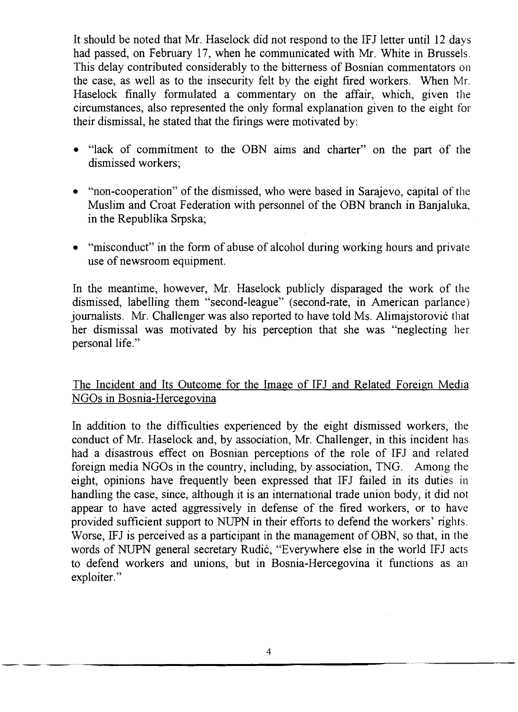It should be noted that Mr. Haselock did not respond to the IFJ letter until 12 days had passed, on February 17, when he communicated with Mr. White in Brussels. This delay contributed considerably to the bitterness of Bosnian commentators on the case, as well as to the insecurity felt by the eight fired workers. When Mr. Haselock finally formulated a commentary on the affair, which, given the circumstances, also represented the only fonnal explanation given to the eight for their dismissal, he stated that the firings were motivated by:

- "lack of commitment to the OBN aims and charter" on the part of the dismissed workers;
- "non-cooperation" of the dismissed, who were based in Sarajevo, capital of the Muslim and Croat Federation with personnel of the OBN branch in Banjaluka, in the Republika Srpska;
- "misconduct" in the form of abuse of alcohol during working hours and private use of newsroom equipment.

In the meantime, however, Mr. Haselock publicly disparaged the work of the dismissed, labelling them "second-league" (second-rate, in American parlance) journalists. Mr. Challenger was also reported to have told Ms. Alimajstorović that her dismissal was motivated by his perception that she was "neglecting her personal life."

## The Incident and Its Outcome for the Image of IFJ and Related Foreign Media NGOs in Bosnia-Hercegovina

In addition to the difficulties experienced by the eight dismissed workers, the conduct of Mr. Haselock and, by association, Mr. Challenger, in this incident has had a disastrous effect on Bosnian perceptions of the role of IFJ and related foreign media NGOs in the country, including, by association, TNG. Among the eight, opinions have frequently been expressed that IFJ failed in its duties in handling the case, since, although it is an international trade union body, it did not appear to have acted aggressively in defense of the fired workers, or to have provided sufficient support to NUPN in their efforts to defend the workers' rights. Worse, IFJ is perceived as a participant in the management of OBN, so that, in the words of NUPN general secretary Rudić, "Everywhere else in the world IFJ acts to defend workers and unions, but in Bosnia-Hercegovina it functions as an exploiter."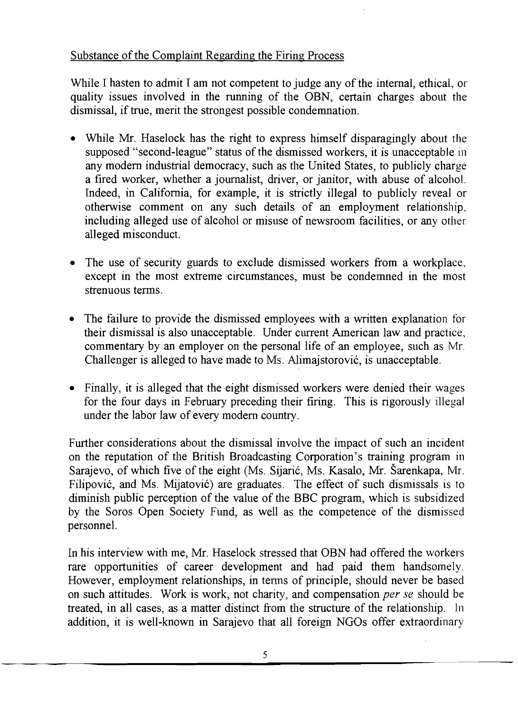# Substance of the Complaint Regarding the Firing Process

While I hasten to admit I am not competent to judge any of the internal, ethical, or quality issues involved in the running of the OBN, certain charges about the dismissal, if true, merit the strongest possible condemnation.

- While Mr. Haselock has the right to express himself disparagingly about the supposed "second-league" status of the dismissed workers, it is unacceptable in any modern industrial democracy, such as the United States, to publicly charge a fired worker, whether a journalist, driver, or janitor, with abuse of alcohol. Indeed, in California, for example, it is strictly illegal to publicly reveal or otherwise comment on any such details of an employment relationship, including alleged use of alcohol or misuse of newsroom facilities, or any other alleged misconduct.
- The use of security guards to exclude dismissed workers from a workplace, except in the most extreme circumstances, must be condemned in the most strenuous terms.
- The failure to provide the dismissed employees with a written explanation for their dismissal is also unacceptable. Under current American law and practice, commentary by an employer on the personal life of an employee, such as Mr. Challenger is alleged to have made to Ms. Alimajstorovic, is unacceptable.
- Finally, it is alleged that the eight dismissed workers were denied their wages for the four days in February preceding their firing. This is rigorously illegal under the labor law of every modern country.

Further considerations about the dismissal involve the impact of such an incident on the reputation of the British Broadcasting Corporation's training program in Sarajevo, of which five of the eight (Ms. Sijaric, Ms. Kasalo, Mr. Sarenkapa, Mr. Filipovic, and Ms. Mijatovic) are graduates. The effect of such dismissals is to diminish public perception of the value of the BBC program, which is subsidized by the Soros Open Society Fund, as well as the competence of the dismissed personnel.

In his interview with me, Mr. Haselock stressed that OBN had offered the workers rare opportunities of career development and had paid them handsomely. However, employment relationships, in tenns of principle, should never be based on such attitudes. Work is work, not charity, and compensation *per se* should be treated, in all cases, as a matter distinct from the structure of the relationship. In addition, it is well-known in Sarajevo that all foreign NGOs offer extraordinary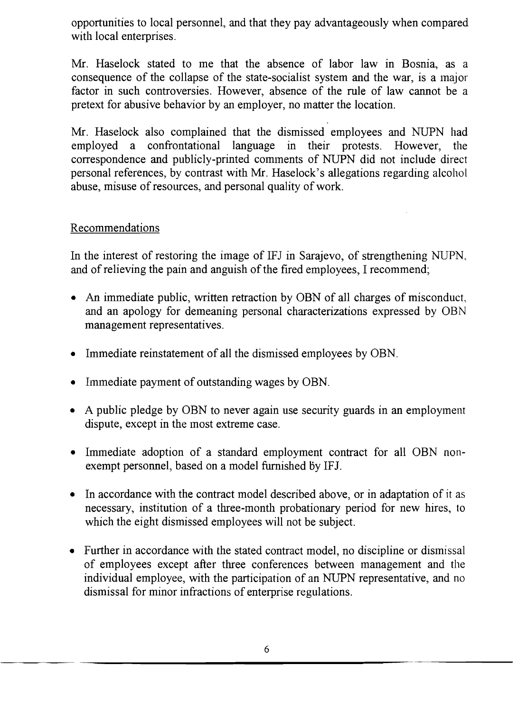opportunities to local personnel, and that they pay advantageously when compared with local enterprises.

Mr. Haselock stated to me that the absence of labor law in Bosnia, as a consequence of the collapse of the state-socialist system and the war, is a major factor in such controversies. However, absence of the rule of law cannot be a pretext for abusive behavior by an employer, no matter the location.

Mr. Haselock also complained that the dismissed employees and NUPN had employed a confrontational language in their protests. However, the correspondence and publicly-printed comments of NUPN did not include direct personal references, by contrast with Mr. Haselock's allegations regarding alcohol abuse, misuse of resources, and personal quality of work.

## Recommendations

In the interest of restoring the image of IFJ in Sarajevo, of strengthening NUPN, and of relieving the pain and anguish of the fired employees, I recommend;

- An immediate public, written retraction by OBN of all charges of misconduct, and an apology for demeaning personal characterizations expressed by OBN management representatives.
- Immediate reinstatement of all the dismissed employees by OBN.
- Immediate payment of outstanding wages by OBN.
- A public pledge by OBN to never again use security guards in an employment dispute, except in the most extreme case.
- Immediate adoption of a standard employment contract for all OBN nonexempt personnel, based on a model furnished by IFJ.
- In accordance with the contract model described above, or in adaptation of it as necessary, institution of a three-month probationary period for new hires, to which the eight dismissed employees will not be subject.
- Further in accordance with the stated contract model, no discipline or dismissal of employees except after three conferences between management and the individual employee, with the participation of an NUPN representative, and no dismissal for minor infractions of enterprise regulations.